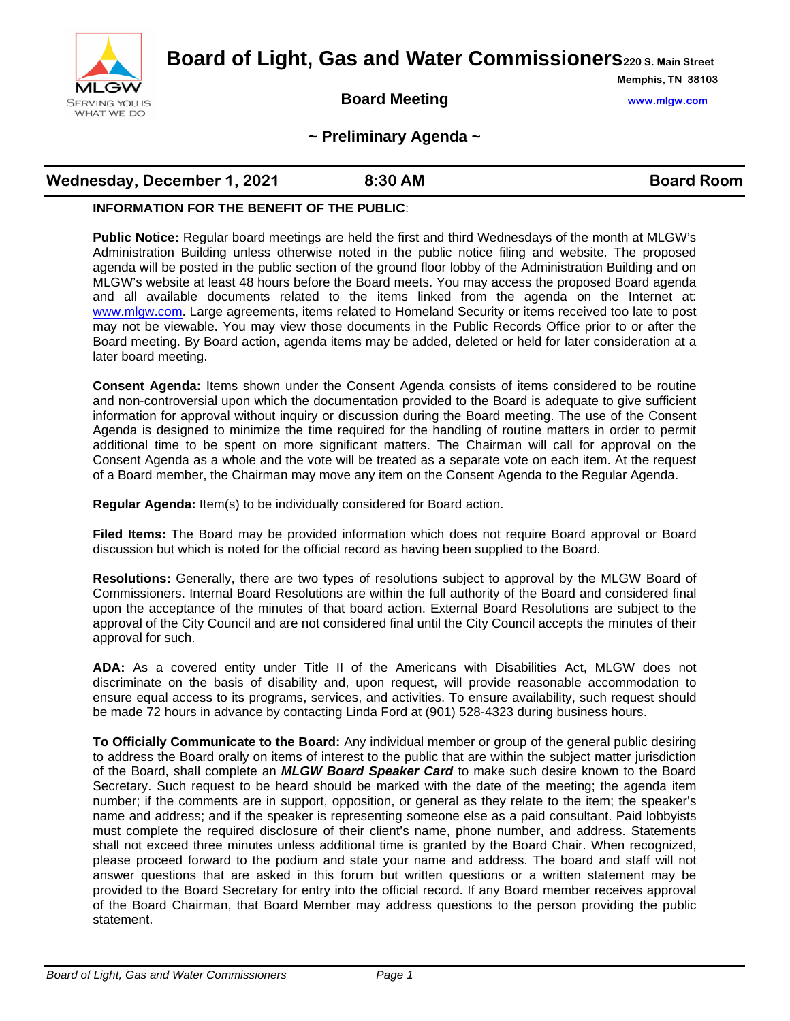

**Board of Light, Gas and Water Commissioners220 S. Main Street**

### **Board Meeting www.mlgw.com**

**Memphis, TN 38103**

#### **~ Preliminary Agenda ~**

# **Wednesday, December 1, 2021 8:30 AM Board Room**

#### **INFORMATION FOR THE BENEFIT OF THE PUBLIC**:

**Public Notice:** Regular board meetings are held the first and third Wednesdays of the month at MLGW's Administration Building unless otherwise noted in the public notice filing and website. The proposed agenda will be posted in the public section of the ground floor lobby of the Administration Building and on MLGW's website at least 48 hours before the Board meets. You may access the proposed Board agenda and all available documents related to the items linked from the agenda on the Internet at: [www.mlgw.com.](http://www.mlgw.com/) Large agreements, items related to Homeland Security or items received too late to post may not be viewable. You may view those documents in the Public Records Office prior to or after the Board meeting. By Board action, agenda items may be added, deleted or held for later consideration at a later board meeting.

**Consent Agenda:** Items shown under the Consent Agenda consists of items considered to be routine and non-controversial upon which the documentation provided to the Board is adequate to give sufficient information for approval without inquiry or discussion during the Board meeting. The use of the Consent Agenda is designed to minimize the time required for the handling of routine matters in order to permit additional time to be spent on more significant matters. The Chairman will call for approval on the Consent Agenda as a whole and the vote will be treated as a separate vote on each item. At the request of a Board member, the Chairman may move any item on the Consent Agenda to the Regular Agenda.

**Regular Agenda:** Item(s) to be individually considered for Board action.

**Filed Items:** The Board may be provided information which does not require Board approval or Board discussion but which is noted for the official record as having been supplied to the Board.

**Resolutions:** Generally, there are two types of resolutions subject to approval by the MLGW Board of Commissioners. Internal Board Resolutions are within the full authority of the Board and considered final upon the acceptance of the minutes of that board action. External Board Resolutions are subject to the approval of the City Council and are not considered final until the City Council accepts the minutes of their approval for such.

**ADA:** As a covered entity under Title II of the Americans with Disabilities Act, MLGW does not discriminate on the basis of disability and, upon request, will provide reasonable accommodation to ensure equal access to its programs, services, and activities. To ensure availability, such request should be made 72 hours in advance by contacting Linda Ford at (901) 528-4323 during business hours.

**To Officially Communicate to the Board:** Any individual member or group of the general public desiring to address the Board orally on items of interest to the public that are within the subject matter jurisdiction of the Board, shall complete an *MLGW Board Speaker Card* to make such desire known to the Board Secretary. Such request to be heard should be marked with the date of the meeting; the agenda item number; if the comments are in support, opposition, or general as they relate to the item; the speaker's name and address; and if the speaker is representing someone else as a paid consultant. Paid lobbyists must complete the required disclosure of their client's name, phone number, and address. Statements shall not exceed three minutes unless additional time is granted by the Board Chair. When recognized, please proceed forward to the podium and state your name and address. The board and staff will not answer questions that are asked in this forum but written questions or a written statement may be provided to the Board Secretary for entry into the official record. If any Board member receives approval of the Board Chairman, that Board Member may address questions to the person providing the public statement.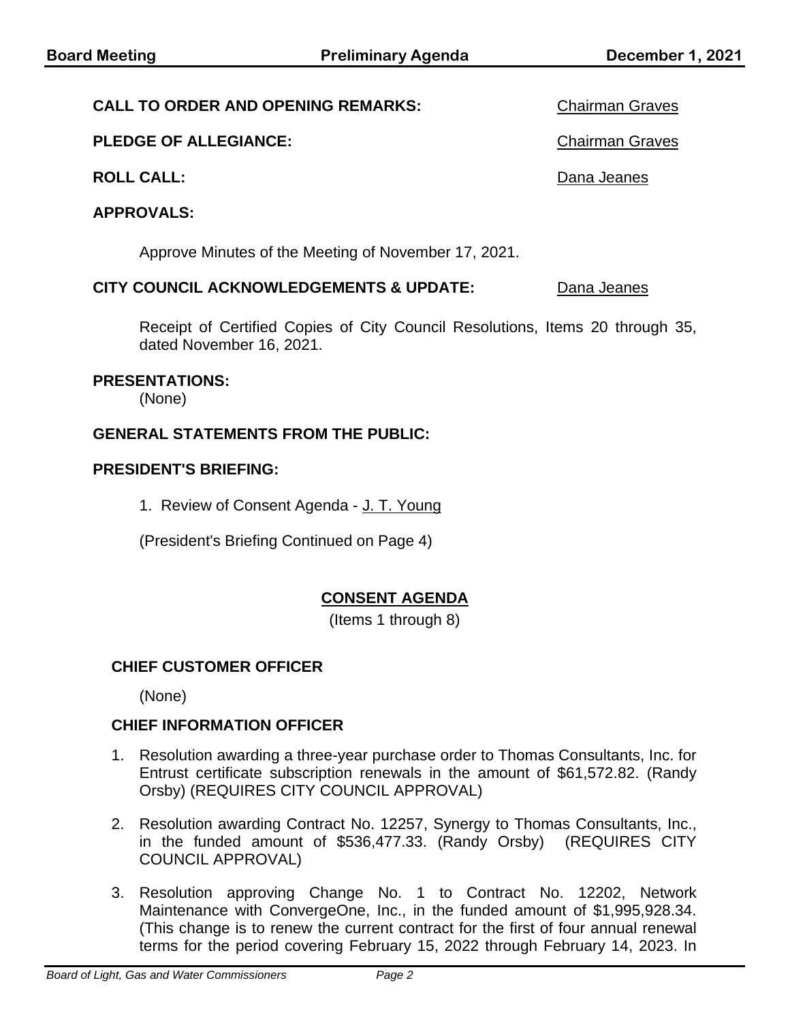### **CALL TO ORDER AND OPENING REMARKS:** Chairman Graves

### **PLEDGE OF ALLEGIANCE:** Chairman Graves

### **ROLL CALL:** Dana Jeanes

# **APPROVALS:**

Approve Minutes of the Meeting of November 17, 2021.

#### **CITY COUNCIL ACKNOWLEDGEMENTS & UPDATE:** Dana Jeanes

Receipt of Certified Copies of City Council Resolutions, Items 20 through 35, dated November 16, 2021.

### **PRESENTATIONS:**

(None)

#### **GENERAL STATEMENTS FROM THE PUBLIC:**

#### **PRESIDENT'S BRIEFING:**

1. Review of Consent Agenda - J. T. Young

(President's Briefing Continued on Page 4)

# **CONSENT AGENDA**

(Items 1 through 8)

### **CHIEF CUSTOMER OFFICER**

(None)

### **CHIEF INFORMATION OFFICER**

- 1. Resolution awarding a three-year purchase order to Thomas Consultants, Inc. for Entrust certificate subscription renewals in the amount of \$61,572.82. (Randy Orsby) (REQUIRES CITY COUNCIL APPROVAL)
- 2. Resolution awarding Contract No. 12257, Synergy to Thomas Consultants, Inc., in the funded amount of \$536,477.33. (Randy Orsby) (REQUIRES CITY COUNCIL APPROVAL)
- 3. Resolution approving Change No. 1 to Contract No. 12202, Network Maintenance with ConvergeOne, Inc., in the funded amount of \$1,995,928.34. (This change is to renew the current contract for the first of four annual renewal terms for the period covering February 15, 2022 through February 14, 2023. In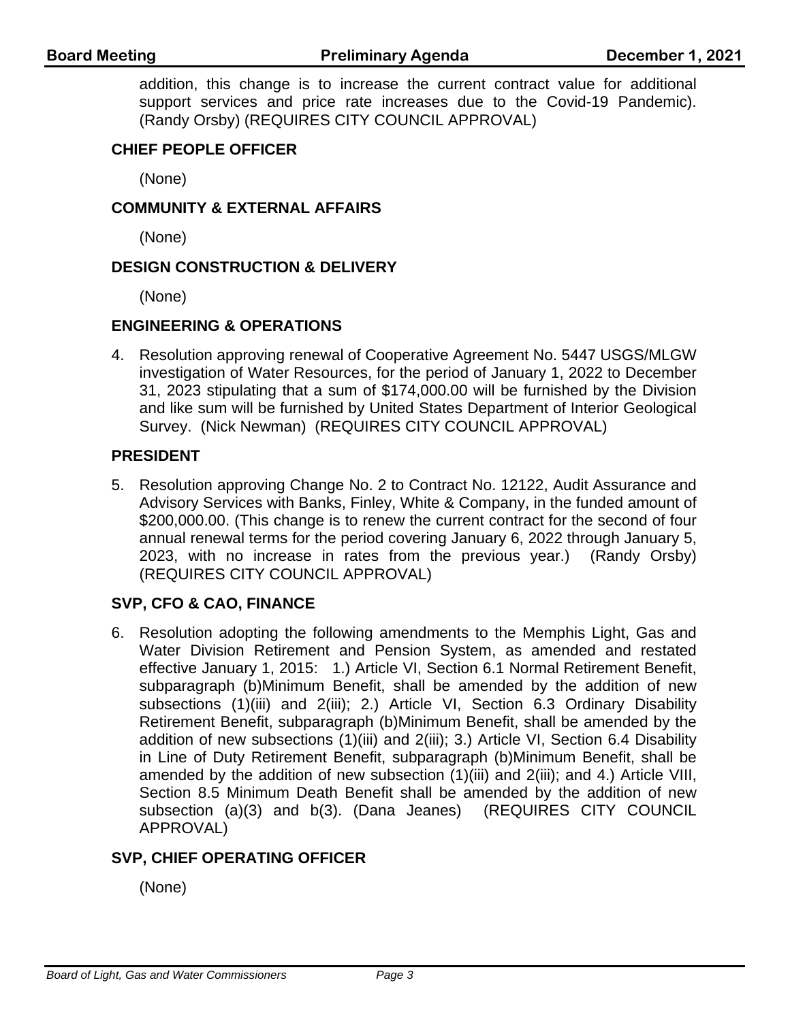addition, this change is to increase the current contract value for additional support services and price rate increases due to the Covid-19 Pandemic). (Randy Orsby) (REQUIRES CITY COUNCIL APPROVAL)

# **CHIEF PEOPLE OFFICER**

(None)

### **COMMUNITY & EXTERNAL AFFAIRS**

(None)

### **DESIGN CONSTRUCTION & DELIVERY**

(None)

# **ENGINEERING & OPERATIONS**

4. Resolution approving renewal of Cooperative Agreement No. 5447 USGS/MLGW investigation of Water Resources, for the period of January 1, 2022 to December 31, 2023 stipulating that a sum of \$174,000.00 will be furnished by the Division and like sum will be furnished by United States Department of Interior Geological Survey. (Nick Newman) (REQUIRES CITY COUNCIL APPROVAL)

# **PRESIDENT**

5. Resolution approving Change No. 2 to Contract No. 12122, Audit Assurance and Advisory Services with Banks, Finley, White & Company, in the funded amount of \$200,000.00. (This change is to renew the current contract for the second of four annual renewal terms for the period covering January 6, 2022 through January 5, 2023, with no increase in rates from the previous year.) (Randy Orsby) (REQUIRES CITY COUNCIL APPROVAL)

# **SVP, CFO & CAO, FINANCE**

6. Resolution adopting the following amendments to the Memphis Light, Gas and Water Division Retirement and Pension System, as amended and restated effective January 1, 2015: 1.) Article VI, Section 6.1 Normal Retirement Benefit, subparagraph (b)Minimum Benefit, shall be amended by the addition of new subsections (1)(iii) and 2(iii); 2.) Article VI, Section 6.3 Ordinary Disability Retirement Benefit, subparagraph (b)Minimum Benefit, shall be amended by the addition of new subsections (1)(iii) and 2(iii); 3.) Article VI, Section 6.4 Disability in Line of Duty Retirement Benefit, subparagraph (b)Minimum Benefit, shall be amended by the addition of new subsection (1)(iii) and 2(iii); and 4.) Article VIII, Section 8.5 Minimum Death Benefit shall be amended by the addition of new subsection (a)(3) and b(3). (Dana Jeanes) (REQUIRES CITY COUNCIL APPROVAL)

# **SVP, CHIEF OPERATING OFFICER**

(None)